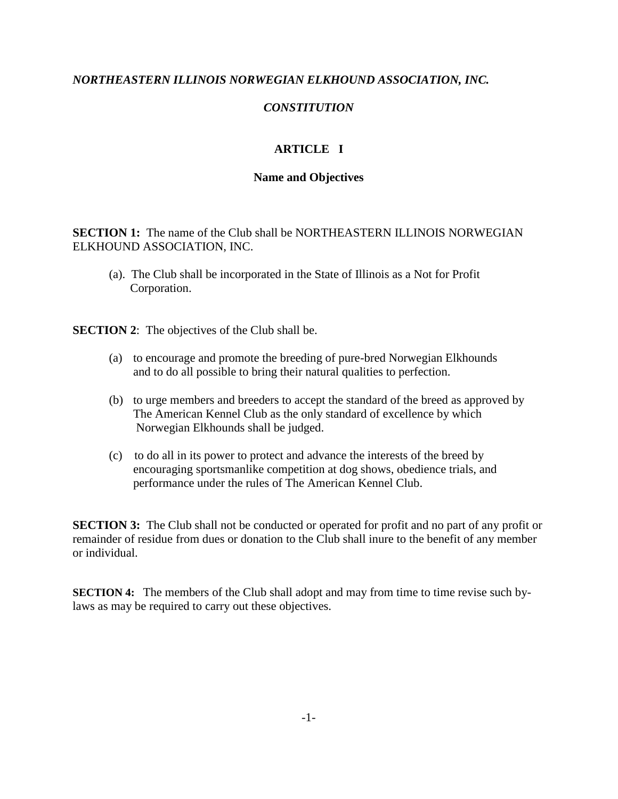## *NORTHEASTERN ILLINOIS NORWEGIAN ELKHOUND ASSOCIATION, INC.*

## *CONSTITUTION*

# **ARTICLE I**

### **Name and Objectives**

**SECTION 1:** The name of the Club shall be NORTHEASTERN ILLINOIS NORWEGIAN ELKHOUND ASSOCIATION, INC.

(a). The Club shall be incorporated in the State of Illinois as a Not for Profit Corporation.

**SECTION 2:** The objectives of the Club shall be.

- (a) to encourage and promote the breeding of pure-bred Norwegian Elkhounds and to do all possible to bring their natural qualities to perfection.
- (b) to urge members and breeders to accept the standard of the breed as approved by The American Kennel Club as the only standard of excellence by which Norwegian Elkhounds shall be judged.
- (c) to do all in its power to protect and advance the interests of the breed by encouraging sportsmanlike competition at dog shows, obedience trials, and performance under the rules of The American Kennel Club.

**SECTION 3:** The Club shall not be conducted or operated for profit and no part of any profit or remainder of residue from dues or donation to the Club shall inure to the benefit of any member or individual.

**SECTION 4:** The members of the Club shall adopt and may from time to time revise such bylaws as may be required to carry out these objectives.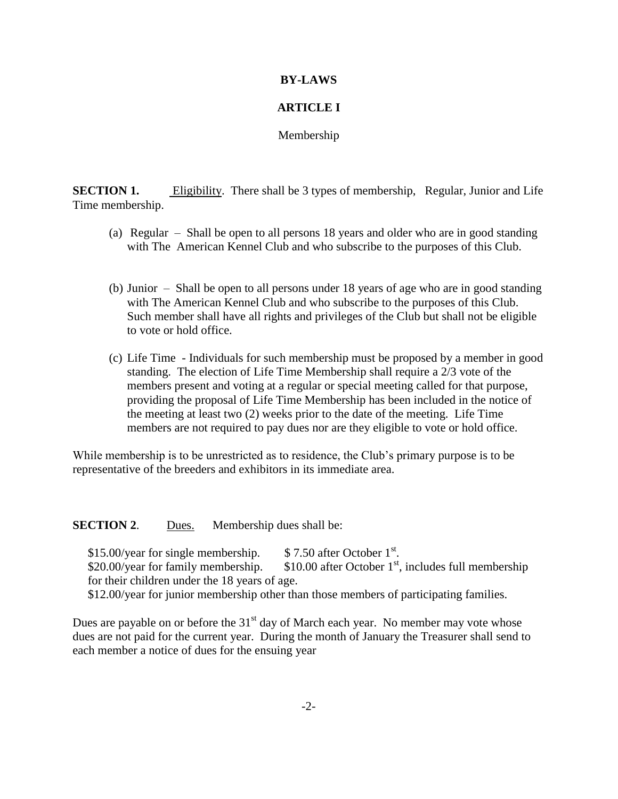#### **BY-LAWS**

## **ARTICLE I**

Membership

**SECTION 1.** Eligibility. There shall be 3 types of membership, Regular, Junior and Life Time membership.

- (a) Regular Shall be open to all persons 18 years and older who are in good standing with The American Kennel Club and who subscribe to the purposes of this Club.
- (b) Junior Shall be open to all persons under 18 years of age who are in good standing with The American Kennel Club and who subscribe to the purposes of this Club. Such member shall have all rights and privileges of the Club but shall not be eligible to vote or hold office.
- (c) Life Time Individuals for such membership must be proposed by a member in good standing. The election of Life Time Membership shall require a 2/3 vote of the members present and voting at a regular or special meeting called for that purpose, providing the proposal of Life Time Membership has been included in the notice of the meeting at least two (2) weeks prior to the date of the meeting. Life Time members are not required to pay dues nor are they eligible to vote or hold office.

While membership is to be unrestricted as to residence, the Club's primary purpose is to be representative of the breeders and exhibitors in its immediate area.

**SECTION 2.** Dues. Membership dues shall be:

 $$15.00/year$  for single membership.  $$7.50$  after October 1<sup>st</sup>.  $$20.00/year$  for family membership.  $$10.00$  after October 1<sup>st</sup>, includes full membership for their children under the 18 years of age. \$12.00/year for junior membership other than those members of participating families.

Dues are payable on or before the  $31<sup>st</sup>$  day of March each year. No member may vote whose dues are not paid for the current year. During the month of January the Treasurer shall send to each member a notice of dues for the ensuing year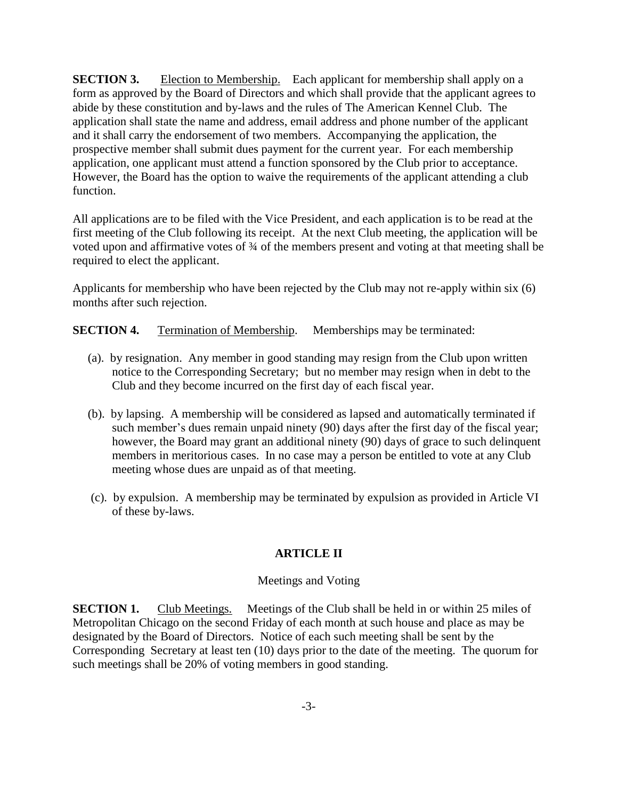**SECTION 3.** Election to Membership. Each applicant for membership shall apply on a form as approved by the Board of Directors and which shall provide that the applicant agrees to abide by these constitution and by-laws and the rules of The American Kennel Club. The application shall state the name and address, email address and phone number of the applicant and it shall carry the endorsement of two members. Accompanying the application, the prospective member shall submit dues payment for the current year. For each membership application, one applicant must attend a function sponsored by the Club prior to acceptance. However, the Board has the option to waive the requirements of the applicant attending a club function.

All applications are to be filed with the Vice President, and each application is to be read at the first meeting of the Club following its receipt. At the next Club meeting, the application will be voted upon and affirmative votes of  $\frac{3}{4}$  of the members present and voting at that meeting shall be required to elect the applicant.

Applicants for membership who have been rejected by the Club may not re-apply within six (6) months after such rejection.

**SECTION 4.** Termination of Membership. Memberships may be terminated:

- (a). by resignation. Any member in good standing may resign from the Club upon written notice to the Corresponding Secretary; but no member may resign when in debt to the Club and they become incurred on the first day of each fiscal year.
- (b). by lapsing. A membership will be considered as lapsed and automatically terminated if such member's dues remain unpaid ninety (90) days after the first day of the fiscal year; however, the Board may grant an additional ninety (90) days of grace to such delinquent members in meritorious cases. In no case may a person be entitled to vote at any Club meeting whose dues are unpaid as of that meeting.
- (c). by expulsion. A membership may be terminated by expulsion as provided in Article VI of these by-laws.

# **ARTICLE II**

#### Meetings and Voting

**SECTION 1.** Club Meetings. Meetings of the Club shall be held in or within 25 miles of Metropolitan Chicago on the second Friday of each month at such house and place as may be designated by the Board of Directors. Notice of each such meeting shall be sent by the Corresponding Secretary at least ten (10) days prior to the date of the meeting. The quorum for such meetings shall be 20% of voting members in good standing.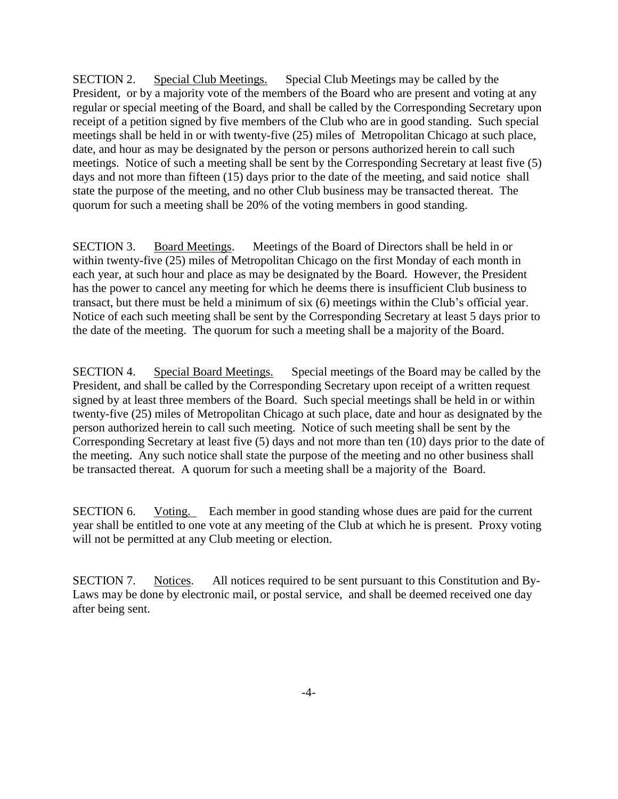SECTION 2. Special Club Meetings. Special Club Meetings may be called by the President, or by a majority vote of the members of the Board who are present and voting at any regular or special meeting of the Board, and shall be called by the Corresponding Secretary upon receipt of a petition signed by five members of the Club who are in good standing. Such special meetings shall be held in or with twenty-five (25) miles of Metropolitan Chicago at such place, date, and hour as may be designated by the person or persons authorized herein to call such meetings. Notice of such a meeting shall be sent by the Corresponding Secretary at least five (5) days and not more than fifteen (15) days prior to the date of the meeting, and said notice shall state the purpose of the meeting, and no other Club business may be transacted thereat. The quorum for such a meeting shall be 20% of the voting members in good standing.

SECTION 3. Board Meetings. Meetings of the Board of Directors shall be held in or within twenty-five (25) miles of Metropolitan Chicago on the first Monday of each month in each year, at such hour and place as may be designated by the Board. However, the President has the power to cancel any meeting for which he deems there is insufficient Club business to transact, but there must be held a minimum of six (6) meetings within the Club's official year. Notice of each such meeting shall be sent by the Corresponding Secretary at least 5 days prior to the date of the meeting. The quorum for such a meeting shall be a majority of the Board.

SECTION 4. Special Board Meetings. Special meetings of the Board may be called by the President, and shall be called by the Corresponding Secretary upon receipt of a written request signed by at least three members of the Board. Such special meetings shall be held in or within twenty-five (25) miles of Metropolitan Chicago at such place, date and hour as designated by the person authorized herein to call such meeting. Notice of such meeting shall be sent by the Corresponding Secretary at least five (5) days and not more than ten (10) days prior to the date of the meeting. Any such notice shall state the purpose of the meeting and no other business shall be transacted thereat. A quorum for such a meeting shall be a majority of the Board.

SECTION 6. Voting. Each member in good standing whose dues are paid for the current year shall be entitled to one vote at any meeting of the Club at which he is present. Proxy voting will not be permitted at any Club meeting or election.

SECTION 7. Notices. All notices required to be sent pursuant to this Constitution and By-Laws may be done by electronic mail, or postal service, and shall be deemed received one day after being sent.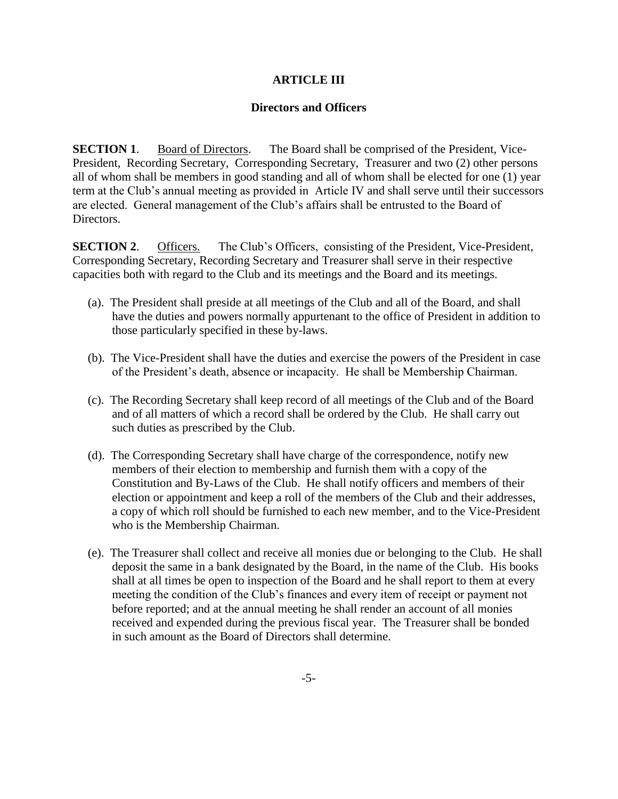## **ARTICLE III**

## **Directors and Officers**

**SECTION 1**. Board of Directors. The Board shall be comprised of the President, Vice-President, Recording Secretary, Corresponding Secretary, Treasurer and two (2) other persons all of whom shall be members in good standing and all of whom shall be elected for one (1) year term at the Club's annual meeting as provided in Article IV and shall serve until their successors are elected. General management of the Club's affairs shall be entrusted to the Board of Directors.

**SECTION 2.** Officers. The Club's Officers, consisting of the President, Vice-President, Corresponding Secretary, Recording Secretary and Treasurer shall serve in their respective capacities both with regard to the Club and its meetings and the Board and its meetings.

- (a). The President shall preside at all meetings of the Club and all of the Board, and shall have the duties and powers normally appurtenant to the office of President in addition to those particularly specified in these by-laws.
- (b). The Vice-President shall have the duties and exercise the powers of the President in case of the President's death, absence or incapacity. He shall be Membership Chairman.
- (c). The Recording Secretary shall keep record of all meetings of the Club and of the Board and of all matters of which a record shall be ordered by the Club. He shall carry out such duties as prescribed by the Club.
- (d). The Corresponding Secretary shall have charge of the correspondence, notify new members of their election to membership and furnish them with a copy of the Constitution and By-Laws of the Club. He shall notify officers and members of their election or appointment and keep a roll of the members of the Club and their addresses, a copy of which roll should be furnished to each new member, and to the Vice-President who is the Membership Chairman.
- (e). The Treasurer shall collect and receive all monies due or belonging to the Club. He shall deposit the same in a bank designated by the Board, in the name of the Club. His books shall at all times be open to inspection of the Board and he shall report to them at every meeting the condition of the Club's finances and every item of receipt or payment not before reported; and at the annual meeting he shall render an account of all monies received and expended during the previous fiscal year. The Treasurer shall be bonded in such amount as the Board of Directors shall determine.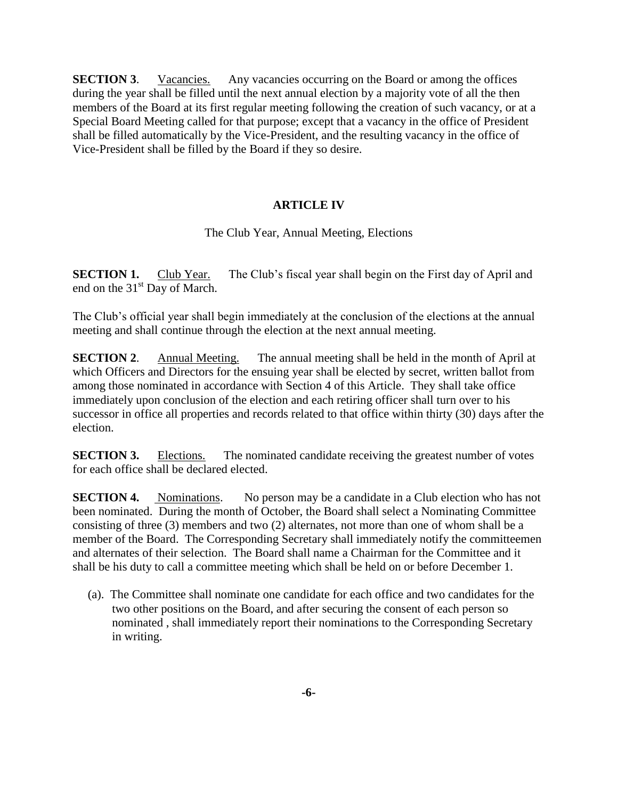**SECTION 3.** Vacancies. Any vacancies occurring on the Board or among the offices during the year shall be filled until the next annual election by a majority vote of all the then members of the Board at its first regular meeting following the creation of such vacancy, or at a Special Board Meeting called for that purpose; except that a vacancy in the office of President shall be filled automatically by the Vice-President, and the resulting vacancy in the office of Vice-President shall be filled by the Board if they so desire.

# **ARTICLE IV**

The Club Year, Annual Meeting, Elections

**SECTION 1.** Club Year. The Club's fiscal year shall begin on the First day of April and end on the  $31<sup>st</sup>$  Day of March.

The Club's official year shall begin immediately at the conclusion of the elections at the annual meeting and shall continue through the election at the next annual meeting.

**SECTION 2.** Annual Meeting. The annual meeting shall be held in the month of April at which Officers and Directors for the ensuing year shall be elected by secret, written ballot from among those nominated in accordance with Section 4 of this Article. They shall take office immediately upon conclusion of the election and each retiring officer shall turn over to his successor in office all properties and records related to that office within thirty (30) days after the election.

**SECTION 3.** Elections. The nominated candidate receiving the greatest number of votes for each office shall be declared elected.

**SECTION 4.** Nominations. No person may be a candidate in a Club election who has not been nominated. During the month of October, the Board shall select a Nominating Committee consisting of three (3) members and two (2) alternates, not more than one of whom shall be a member of the Board. The Corresponding Secretary shall immediately notify the committeemen and alternates of their selection. The Board shall name a Chairman for the Committee and it shall be his duty to call a committee meeting which shall be held on or before December 1.

 (a). The Committee shall nominate one candidate for each office and two candidates for the two other positions on the Board, and after securing the consent of each person so nominated , shall immediately report their nominations to the Corresponding Secretary in writing.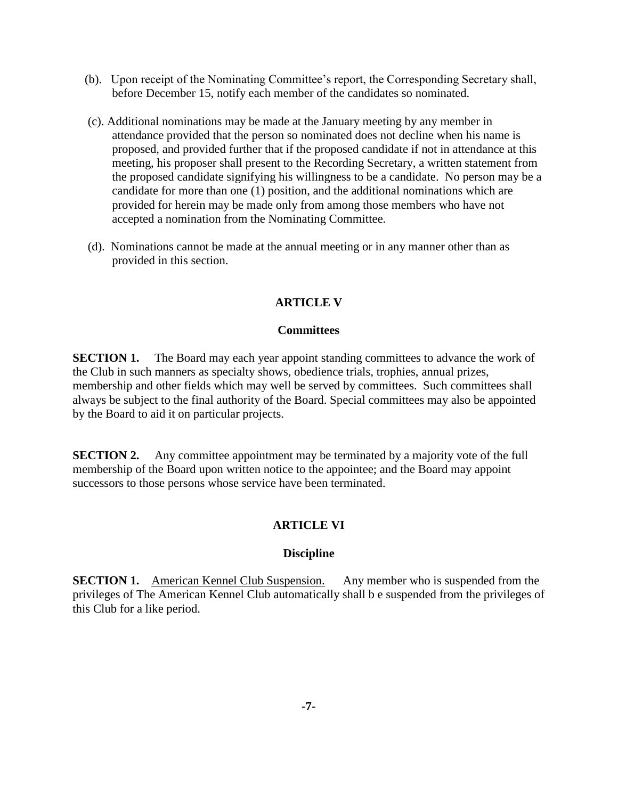- (b). Upon receipt of the Nominating Committee's report, the Corresponding Secretary shall, before December 15, notify each member of the candidates so nominated.
- (c). Additional nominations may be made at the January meeting by any member in attendance provided that the person so nominated does not decline when his name is proposed, and provided further that if the proposed candidate if not in attendance at this meeting, his proposer shall present to the Recording Secretary, a written statement from the proposed candidate signifying his willingness to be a candidate. No person may be a candidate for more than one (1) position, and the additional nominations which are provided for herein may be made only from among those members who have not accepted a nomination from the Nominating Committee.
- (d). Nominations cannot be made at the annual meeting or in any manner other than as provided in this section.

# **ARTICLE V**

## **Committees**

**SECTION 1.** The Board may each year appoint standing committees to advance the work of the Club in such manners as specialty shows, obedience trials, trophies, annual prizes, membership and other fields which may well be served by committees. Such committees shall always be subject to the final authority of the Board. Special committees may also be appointed by the Board to aid it on particular projects.

**SECTION 2.** Any committee appointment may be terminated by a majority vote of the full membership of the Board upon written notice to the appointee; and the Board may appoint successors to those persons whose service have been terminated.

# **ARTICLE VI**

## **Discipline**

**SECTION 1.** American Kennel Club Suspension. Any member who is suspended from the privileges of The American Kennel Club automatically shall b e suspended from the privileges of this Club for a like period.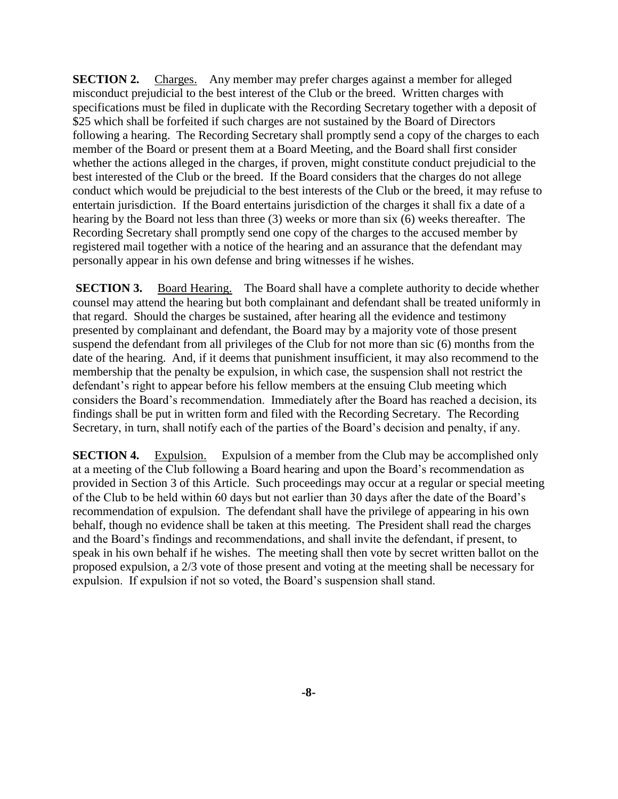**SECTION 2.** Charges. Any member may prefer charges against a member for alleged misconduct prejudicial to the best interest of the Club or the breed. Written charges with specifications must be filed in duplicate with the Recording Secretary together with a deposit of \$25 which shall be forfeited if such charges are not sustained by the Board of Directors following a hearing. The Recording Secretary shall promptly send a copy of the charges to each member of the Board or present them at a Board Meeting, and the Board shall first consider whether the actions alleged in the charges, if proven, might constitute conduct prejudicial to the best interested of the Club or the breed. If the Board considers that the charges do not allege conduct which would be prejudicial to the best interests of the Club or the breed, it may refuse to entertain jurisdiction. If the Board entertains jurisdiction of the charges it shall fix a date of a hearing by the Board not less than three (3) weeks or more than six (6) weeks thereafter. The Recording Secretary shall promptly send one copy of the charges to the accused member by registered mail together with a notice of the hearing and an assurance that the defendant may personally appear in his own defense and bring witnesses if he wishes.

**SECTION 3.** Board Hearing. The Board shall have a complete authority to decide whether counsel may attend the hearing but both complainant and defendant shall be treated uniformly in that regard. Should the charges be sustained, after hearing all the evidence and testimony presented by complainant and defendant, the Board may by a majority vote of those present suspend the defendant from all privileges of the Club for not more than sic (6) months from the date of the hearing. And, if it deems that punishment insufficient, it may also recommend to the membership that the penalty be expulsion, in which case, the suspension shall not restrict the defendant's right to appear before his fellow members at the ensuing Club meeting which considers the Board's recommendation. Immediately after the Board has reached a decision, its findings shall be put in written form and filed with the Recording Secretary. The Recording Secretary, in turn, shall notify each of the parties of the Board's decision and penalty, if any.

**SECTION 4.** Expulsion. Expulsion of a member from the Club may be accomplished only at a meeting of the Club following a Board hearing and upon the Board's recommendation as provided in Section 3 of this Article. Such proceedings may occur at a regular or special meeting of the Club to be held within 60 days but not earlier than 30 days after the date of the Board's recommendation of expulsion. The defendant shall have the privilege of appearing in his own behalf, though no evidence shall be taken at this meeting. The President shall read the charges and the Board's findings and recommendations, and shall invite the defendant, if present, to speak in his own behalf if he wishes. The meeting shall then vote by secret written ballot on the proposed expulsion, a 2/3 vote of those present and voting at the meeting shall be necessary for expulsion. If expulsion if not so voted, the Board's suspension shall stand.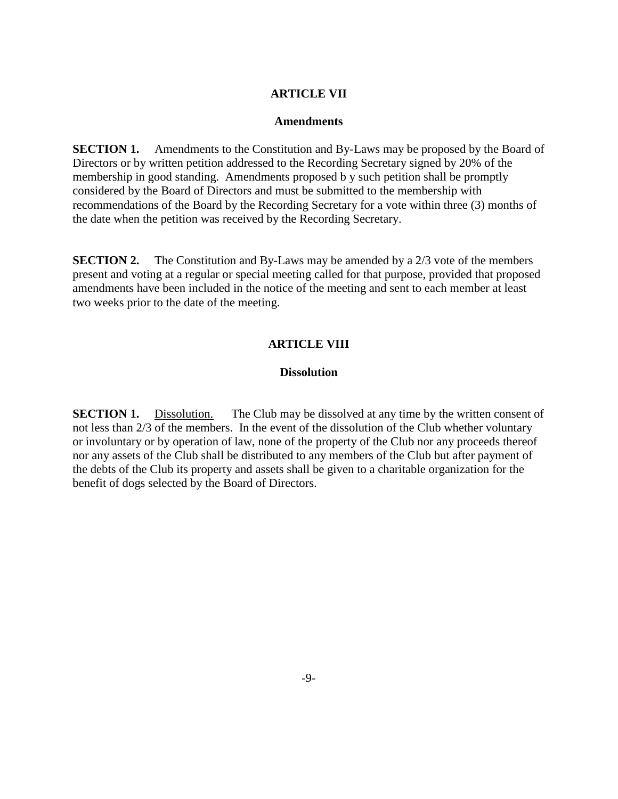## **ARTICLE VII**

#### **Amendments**

**SECTION 1.** Amendments to the Constitution and By-Laws may be proposed by the Board of Directors or by written petition addressed to the Recording Secretary signed by 20% of the membership in good standing. Amendments proposed b y such petition shall be promptly considered by the Board of Directors and must be submitted to the membership with recommendations of the Board by the Recording Secretary for a vote within three (3) months of the date when the petition was received by the Recording Secretary.

**SECTION 2.** The Constitution and By-Laws may be amended by a 2/3 vote of the members present and voting at a regular or special meeting called for that purpose, provided that proposed amendments have been included in the notice of the meeting and sent to each member at least two weeks prior to the date of the meeting.

#### **ARTICLE VIII**

## **Dissolution**

**SECTION 1.** Dissolution. The Club may be dissolved at any time by the written consent of not less than 2/3 of the members. In the event of the dissolution of the Club whether voluntary or involuntary or by operation of law, none of the property of the Club nor any proceeds thereof nor any assets of the Club shall be distributed to any members of the Club but after payment of the debts of the Club its property and assets shall be given to a charitable organization for the benefit of dogs selected by the Board of Directors.